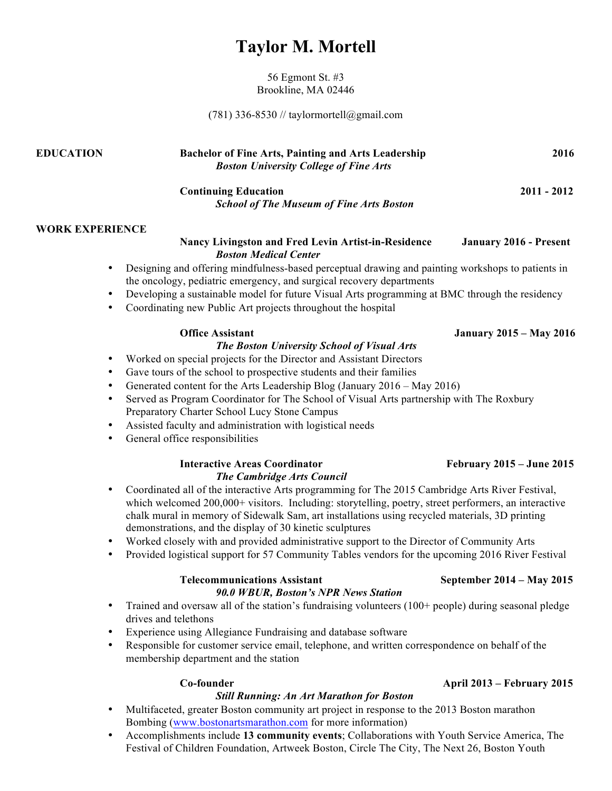# **Taylor M. Mortell**

56 Egmont St. #3 Brookline, MA 02446

(781) 336-8530 // taylormortell@gmail.com

| <b>EDUCATION</b>       | <b>Bachelor of Fine Arts, Painting and Arts Leadership</b><br><b>Boston University College of Fine Arts</b>                                                               | 2016                           |
|------------------------|---------------------------------------------------------------------------------------------------------------------------------------------------------------------------|--------------------------------|
|                        | <b>Continuing Education</b><br><b>School of The Museum of Fine Arts Boston</b>                                                                                            | $2011 - 2012$                  |
| <b>WORK EXPERIENCE</b> |                                                                                                                                                                           |                                |
|                        | <b>Nancy Livingston and Fred Levin Artist-in-Residence</b><br><b>Boston Medical Center</b>                                                                                | <b>January 2016 - Present</b>  |
| $\bullet$              | Designing and offering mindfulness-based perceptual drawing and painting workshops to patients in<br>the oncology, pediatric emergency, and surgical recovery departments |                                |
| $\bullet$              | Developing a sustainable model for future Visual Arts programming at BMC through the residency                                                                            |                                |
| $\bullet$              | Coordinating new Public Art projects throughout the hospital                                                                                                              |                                |
|                        | <b>Office Assistant</b>                                                                                                                                                   | <b>January 2015 – May 2016</b> |
|                        | <b>The Boston University School of Visual Arts</b>                                                                                                                        |                                |
| ٠                      | Worked on special projects for the Director and Assistant Directors                                                                                                       |                                |
| $\bullet$              | Gave tours of the school to prospective students and their families                                                                                                       |                                |
| $\bullet$              | Generated content for the Arts Leadership Blog (January 2016 – May 2016)                                                                                                  |                                |
| $\bullet$              | Served as Program Coordinator for The School of Visual Arts partnership with The Roxbury<br>Preparatory Charter School Lucy Stone Campus                                  |                                |

- Assisted faculty and administration with logistical needs
- General office responsibilities

# **Interactive Areas Coordinator February 2015 – June 2015** *The Cambridge Arts Council*

- Coordinated all of the interactive Arts programming for The 2015 Cambridge Arts River Festival, which welcomed 200,000+ visitors. Including: storytelling, poetry, street performers, an interactive chalk mural in memory of Sidewalk Sam, art installations using recycled materials, 3D printing demonstrations, and the display of 30 kinetic sculptures
- Worked closely with and provided administrative support to the Director of Community Arts
- Provided logistical support for 57 Community Tables vendors for the upcoming 2016 River Festival

# **Telecommunications Assistant September 2014 – May 2015** *90.0 WBUR, Boston's NPR News Station*

- Trained and oversaw all of the station's fundraising volunteers (100+ people) during seasonal pledge drives and telethons
- Experience using Allegiance Fundraising and database software
- Responsible for customer service email, telephone, and written correspondence on behalf of the membership department and the station

### *Still Running: An Art Marathon for Boston*

- Multifaceted, greater Boston community art project in response to the 2013 Boston marathon Bombing (www.bostonartsmarathon.com for more information)
- Accomplishments include **13 community events**; Collaborations with Youth Service America, The Festival of Children Foundation, Artweek Boston, Circle The City, The Next 26, Boston Youth

# **Co-founder April 2013 – February 2015**